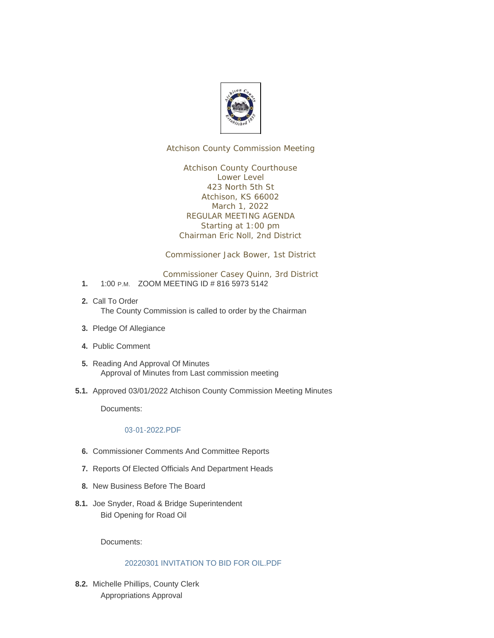

Atchison County Commission Meeting

Atchison County Courthouse Lower Level 423 North 5th St Atchison, KS 66002 March 1, 2022 REGULAR MEETING AGENDA Starting at 1:00 pm Chairman Eric Noll, 2nd District

Commissioner Jack Bower, 1st District

Commissioner Casey Quinn, 3rd District

- 1. 1:00 P.M. ZOOM MEETING ID # 816 5973 5142
- 2. Call To Order The County Commission is called to order by the Chairman
- 3. Pledge Of Allegiance
- Public Comment **4.**
- 5. Reading And Approval Of Minutes Approval of Minutes from Last commission meeting
- 5.1. Approved 03/01/2022 Atchison County Commission Meeting Minutes

Documents:

#### 03-01-2022.PDF

- **6.** Commissioner Comments And Committee Reports
- 7. Reports Of Elected Officials And Department Heads
- 8. New Business Before The Board
- 8.1. Joe Snyder, Road & Bridge Superintendent Bid Opening for Road Oil

Documents:

#### 20220301 INVITATION TO BID FOR OIL.PDF

8.2. Michelle Phillips, County Clerk Appropriations Approval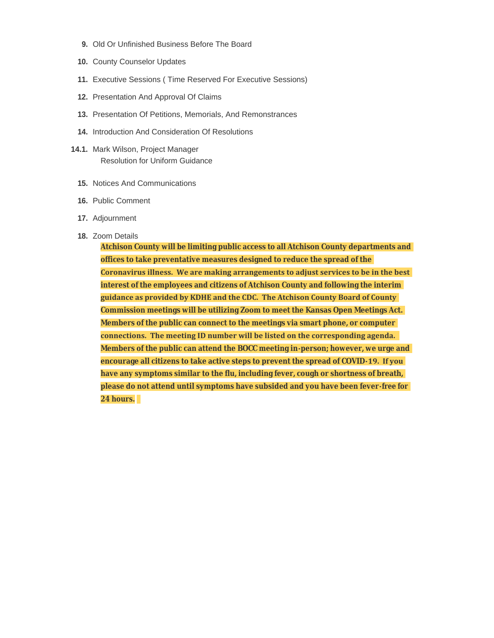- 9. Old Or Unfinished Business Before The Board
- 10. County Counselor Updates
- Executive Sessions ( Time Reserved For Executive Sessions) **11.**
- 12. Presentation And Approval Of Claims
- 13. Presentation Of Petitions, Memorials, And Remonstrances
- 14. Introduction And Consideration Of Resolutions
- 14.1. Mark Wilson, Project Manager Resolution for Uniform Guidance
	- 15. Notices And Communications
	- 16. Public Comment
	- 17. Adjournment
	- 18. Zoom Details

**Atchison County will be limiting public access to all Atchison County departments and offices to take preventative measures designed to reduce the spread of the Coronavirus illness. We are making arrangements to adjust services to be in the best interest of the employees and citizens of Atchison County and following the interim guidance as provided by KDHE and the CDC. The Atchison County Board of County Commission meetings will be utilizing Zoom to meet the Kansas Open Meetings Act. Members of the public can connect to the meetings via smart phone, or computer connections. The meeting ID number will be listed on the corresponding agenda. Members of the public can attend the BOCC meeting in-person; however, we urge and encourage all citizens to take active steps to prevent the spread of COVID-19. If you have any symptoms similar to the flu, including fever, cough or shortness of breath, please do not attend until symptoms have subsided and you have been fever-free for 24 hours.**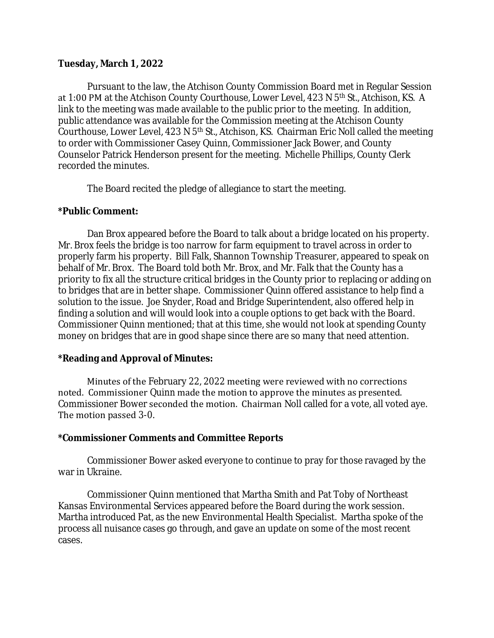#### **Tuesday, March 1, 2022**

Pursuant to the law, the Atchison County Commission Board met in Regular Session at 1:00 PM at the Atchison County Courthouse, Lower Level, 423 N 5<sup>th</sup> St., Atchison, KS. A link to the meeting was made available to the public prior to the meeting. In addition, public attendance was available for the Commission meeting at the Atchison County Courthouse, Lower Level,  $423$  N  $5<sup>th</sup>$  St., Atchison, KS. Chairman Eric Noll called the meeting to order with Commissioner Casey Quinn, Commissioner Jack Bower, and County Counselor Patrick Henderson present for the meeting. Michelle Phillips, County Clerk recorded the minutes.

The Board recited the pledge of allegiance to start the meeting.

#### **\*Public Comment:**

Dan Brox appeared before the Board to talk about a bridge located on his property. Mr. Brox feels the bridge is too narrow for farm equipment to travel across in order to properly farm his property. Bill Falk, Shannon Township Treasurer, appeared to speak on behalf of Mr. Brox. The Board told both Mr. Brox, and Mr. Falk that the County has a priority to fix all the structure critical bridges in the County prior to replacing or adding on to bridges that are in better shape. Commissioner Quinn offered assistance to help find a solution to the issue. Joe Snyder, Road and Bridge Superintendent, also offered help in finding a solution and will would look into a couple options to get back with the Board. Commissioner Quinn mentioned; that at this time, she would not look at spending County money on bridges that are in good shape since there are so many that need attention.

## **\*Reading and Approval of Minutes:**

Minutes of the February 22, 2022 meeting were reviewed with no corrections noted. Commissioner Quinn made the motion to approve the minutes as presented. Commissioner Bower seconded the motion. Chairman Noll called for a vote, all voted aye. The motion passed 3-0.

## **\*Commissioner Comments and Committee Reports**

Commissioner Bower asked everyone to continue to pray for those ravaged by the war in Ukraine.

Commissioner Quinn mentioned that Martha Smith and Pat Toby of Northeast Kansas Environmental Services appeared before the Board during the work session. Martha introduced Pat, as the new Environmental Health Specialist. Martha spoke of the process all nuisance cases go through, and gave an update on some of the most recent cases.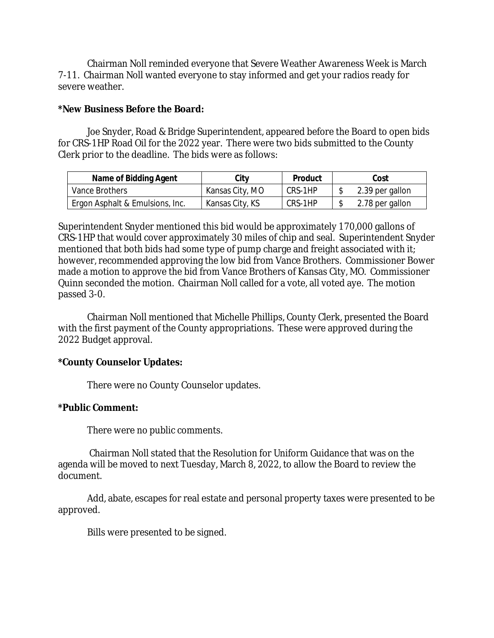Chairman Noll reminded everyone that Severe Weather Awareness Week is March 7-11. Chairman Noll wanted everyone to stay informed and get your radios ready for severe weather.

## **\*New Business Before the Board:**

Joe Snyder, Road & Bridge Superintendent, appeared before the Board to open bids for CRS-1HP Road Oil for the 2022 year. There were two bids submitted to the County Clerk prior to the deadline. The bids were as follows:

| Name of Bidding Agent           | City            | <b>Product</b> | Cost            |
|---------------------------------|-----------------|----------------|-----------------|
| Vance Brothers                  | Kansas City, MO | CRS-1HP        | 2.39 per gallon |
| Ergon Asphalt & Emulsions, Inc. | Kansas City, KS | CRS-1HP        | 2.78 per gallon |

Superintendent Snyder mentioned this bid would be approximately 170,000 gallons of CRS-1HP that would cover approximately 30 miles of chip and seal. Superintendent Snyder mentioned that both bids had some type of pump charge and freight associated with it; however, recommended approving the low bid from Vance Brothers. Commissioner Bower made a motion to approve the bid from Vance Brothers of Kansas City, MO. Commissioner Quinn seconded the motion. Chairman Noll called for a vote, all voted aye. The motion passed 3-0.

Chairman Noll mentioned that Michelle Phillips, County Clerk, presented the Board with the first payment of the County appropriations. These were approved during the 2022 Budget approval.

## **\*County Counselor Updates:**

There were no County Counselor updates.

## **\*Public Comment:**

There were no public comments.

Chairman Noll stated that the Resolution for Uniform Guidance that was on the agenda will be moved to next Tuesday, March 8, 2022, to allow the Board to review the document.

Add, abate, escapes for real estate and personal property taxes were presented to be approved.

Bills were presented to be signed.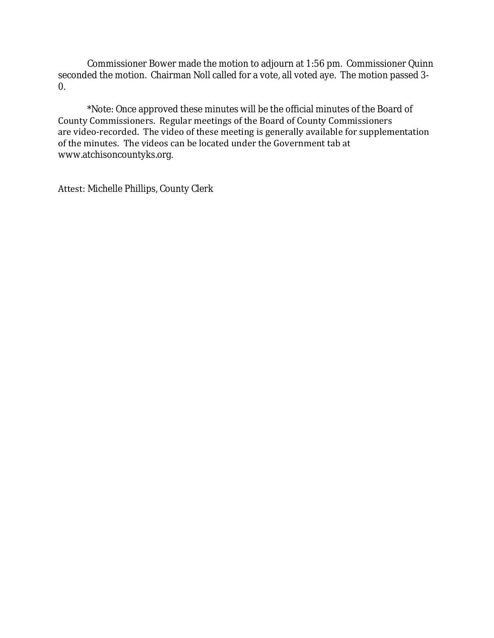Commissioner Bower made the motion to adjourn at 1:56 pm. Commissioner Quinn seconded the motion. Chairman Noll called for a vote, all voted aye. The motion passed 3- 0.

\*Note: Once approved these minutes will be the official minutes of the Board of County Commissioners. Regular meetings of the Board of County Commissioners are video-recorded. The video of these meeting is generally available for supplementation of the minutes. The videos can be located under the Government tab at www.atchisoncountyks.org.

Attest: Michelle Phillips, County Clerk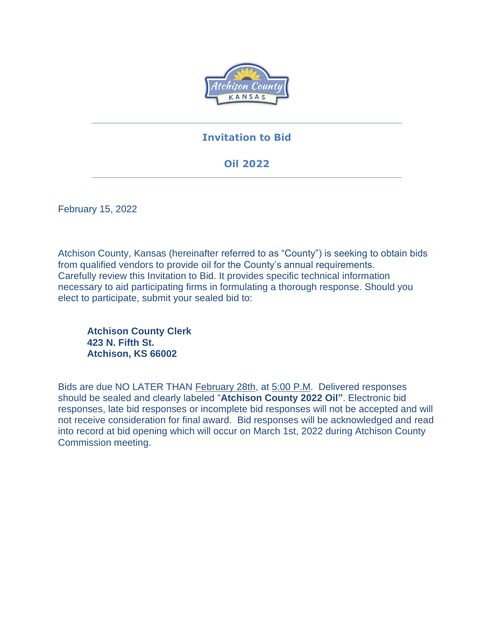

## **Invitation to Bid**

# **Oil 2022**

February 15, 2022

Atchison County, Kansas (hereinafter referred to as "County") is seeking to obtain bids from qualified vendors to provide oil for the County's annual requirements. Carefully review this Invitation to Bid. It provides specific technical information necessary to aid participating firms in formulating a thorough response. Should you elect to participate, submit your sealed bid to:

**Atchison County Clerk 423 N. Fifth St. Atchison, KS 66002**

Bids are due NO LATER THAN February 28th, at 5:00 P.M. Delivered responses should be sealed and clearly labeled "**Atchison County 2022 Oil"**. Electronic bid responses, late bid responses or incomplete bid responses will not be accepted and will not receive consideration for final award. Bid responses will be acknowledged and read into record at bid opening which will occur on March 1st, 2022 during Atchison County Commission meeting.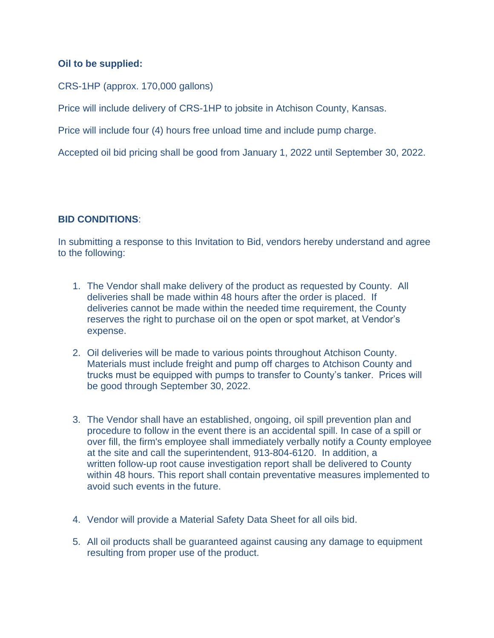## **Oil to be supplied:**

CRS-1HP (approx. 170,000 gallons)

Price will include delivery of CRS-1HP to jobsite in Atchison County, Kansas.

Price will include four (4) hours free unload time and include pump charge.

Accepted oil bid pricing shall be good from January 1, 2022 until September 30, 2022.

## **BID CONDITIONS**:

In submitting a response to this Invitation to Bid, vendors hereby understand and agree to the following:

- 1. The Vendor shall make delivery of the product as requested by County. All deliveries shall be made within 48 hours after the order is placed. If deliveries cannot be made within the needed time requirement, the County reserves the right to purchase oil on the open or spot market, at Vendor's expense.
- 2. Oil deliveries will be made to various points throughout Atchison County. Materials must include freight and pump off charges to Atchison County and trucks must be equipped with pumps to transfer to County's tanker. Prices will be good through September 30, 2022.
- 3. The Vendor shall have an established, ongoing, oil spill prevention plan and procedure to follow in the event there is an accidental spill. In case of a spill or over fill, the firm's employee shall immediately verbally notify a County employee at the site and call the superintendent, 913-804-6120. In addition, a written follow-up root cause investigation report shall be delivered to County within 48 hours. This report shall contain preventative measures implemented to avoid such events in the future.
- 4. Vendor will provide a Material Safety Data Sheet for all oils bid.
- 5. All oil products shall be guaranteed against causing any damage to equipment resulting from proper use of the product.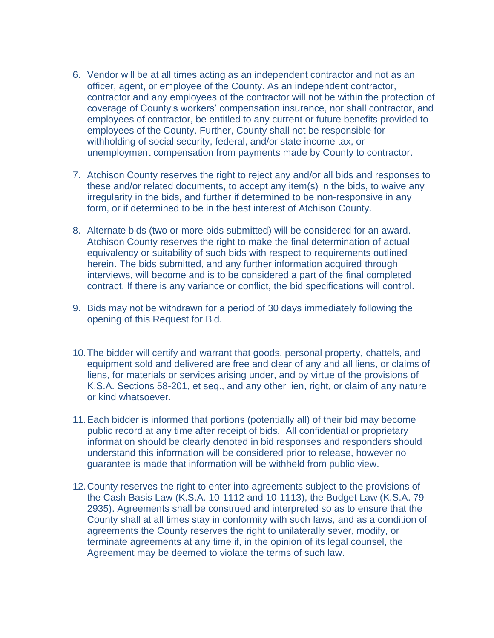- 6. Vendor will be at all times acting as an independent contractor and not as an officer, agent, or employee of the County. As an independent contractor, contractor and any employees of the contractor will not be within the protection of coverage of County's workers' compensation insurance, nor shall contractor, and employees of contractor, be entitled to any current or future benefits provided to employees of the County. Further, County shall not be responsible for withholding of social security, federal, and/or state income tax, or unemployment compensation from payments made by County to contractor.
- 7. Atchison County reserves the right to reject any and/or all bids and responses to these and/or related documents, to accept any item(s) in the bids, to waive any irregularity in the bids, and further if determined to be non-responsive in any form, or if determined to be in the best interest of Atchison County.
- 8. Alternate bids (two or more bids submitted) will be considered for an award. Atchison County reserves the right to make the final determination of actual equivalency or suitability of such bids with respect to requirements outlined herein. The bids submitted, and any further information acquired through interviews, will become and is to be considered a part of the final completed contract. If there is any variance or conflict, the bid specifications will control.
- 9. Bids may not be withdrawn for a period of 30 days immediately following the opening of this Request for Bid.
- 10.The bidder will certify and warrant that goods, personal property, chattels, and equipment sold and delivered are free and clear of any and all liens, or claims of liens, for materials or services arising under, and by virtue of the provisions of K.S.A. Sections 58-201, et seq., and any other lien, right, or claim of any nature or kind whatsoever.
- 11.Each bidder is informed that portions (potentially all) of their bid may become public record at any time after receipt of bids. All confidential or proprietary information should be clearly denoted in bid responses and responders should understand this information will be considered prior to release, however no guarantee is made that information will be withheld from public view.
- 12.County reserves the right to enter into agreements subject to the provisions of the Cash Basis Law (K.S.A. 10-1112 and 10-1113), the Budget Law (K.S.A. 79- 2935). Agreements shall be construed and interpreted so as to ensure that the County shall at all times stay in conformity with such laws, and as a condition of agreements the County reserves the right to unilaterally sever, modify, or terminate agreements at any time if, in the opinion of its legal counsel, the Agreement may be deemed to violate the terms of such law.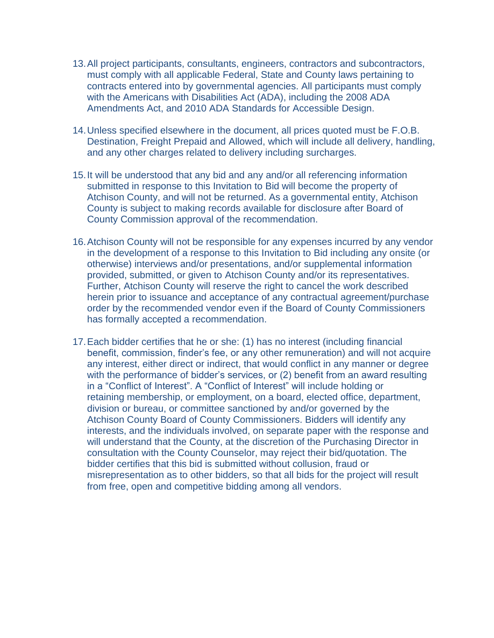- 13.All project participants, consultants, engineers, contractors and subcontractors, must comply with all applicable Federal, State and County laws pertaining to contracts entered into by governmental agencies. All participants must comply with the Americans with Disabilities Act (ADA), including the 2008 ADA Amendments Act, and 2010 ADA Standards for Accessible Design.
- 14.Unless specified elsewhere in the document, all prices quoted must be F.O.B. Destination, Freight Prepaid and Allowed, which will include all delivery, handling, and any other charges related to delivery including surcharges.
- 15.It will be understood that any bid and any and/or all referencing information submitted in response to this Invitation to Bid will become the property of Atchison County, and will not be returned. As a governmental entity, Atchison County is subject to making records available for disclosure after Board of County Commission approval of the recommendation.
- 16.Atchison County will not be responsible for any expenses incurred by any vendor in the development of a response to this Invitation to Bid including any onsite (or otherwise) interviews and/or presentations, and/or supplemental information provided, submitted, or given to Atchison County and/or its representatives. Further, Atchison County will reserve the right to cancel the work described herein prior to issuance and acceptance of any contractual agreement/purchase order by the recommended vendor even if the Board of County Commissioners has formally accepted a recommendation.
- 17.Each bidder certifies that he or she: (1) has no interest (including financial benefit, commission, finder's fee, or any other remuneration) and will not acquire any interest, either direct or indirect, that would conflict in any manner or degree with the performance of bidder's services, or (2) benefit from an award resulting in a "Conflict of Interest". A "Conflict of Interest" will include holding or retaining membership, or employment, on a board, elected office, department, division or bureau, or committee sanctioned by and/or governed by the Atchison County Board of County Commissioners. Bidders will identify any interests, and the individuals involved, on separate paper with the response and will understand that the County, at the discretion of the Purchasing Director in consultation with the County Counselor, may reject their bid/quotation. The bidder certifies that this bid is submitted without collusion, fraud or misrepresentation as to other bidders, so that all bids for the project will result from free, open and competitive bidding among all vendors.